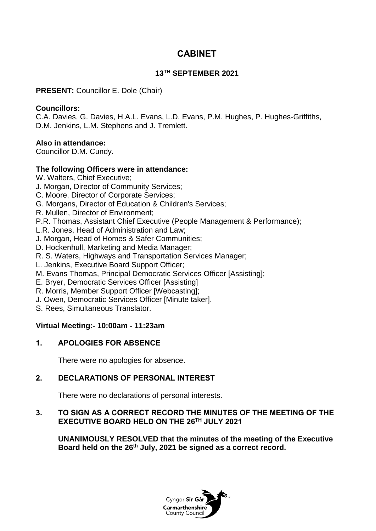# **CABINET**

### **13TH SEPTEMBER 2021**

**PRESENT:** Councillor E. Dole (Chair)

#### **Councillors:**

C.A. Davies, G. Davies, H.A.L. Evans, L.D. Evans, P.M. Hughes, P. Hughes-Griffiths, D.M. Jenkins, L.M. Stephens and J. Tremlett.

### **Also in attendance:**

Councillor D.M. Cundy.

### **The following Officers were in attendance:**

W. Walters, Chief Executive;

- J. Morgan, Director of Community Services;
- C. Moore, Director of Corporate Services;
- G. Morgans, Director of Education & Children's Services;
- R. Mullen, Director of Environment;

P.R. Thomas, Assistant Chief Executive (People Management & Performance);

- L.R. Jones, Head of Administration and Law;
- J. Morgan, Head of Homes & Safer Communities;
- D. Hockenhull, Marketing and Media Manager;
- R. S. Waters, Highways and Transportation Services Manager;
- L. Jenkins, Executive Board Support Officer;
- M. Evans Thomas, Principal Democratic Services Officer [Assisting];
- E. Bryer, Democratic Services Officer [Assisting]
- R. Morris, Member Support Officer [Webcasting];
- J. Owen, Democratic Services Officer [Minute taker].
- S. Rees, Simultaneous Translator.

### **Virtual Meeting:- 10:00am - 11:23am**

### **1. APOLOGIES FOR ABSENCE**

There were no apologies for absence.

### **2. DECLARATIONS OF PERSONAL INTEREST**

There were no declarations of personal interests.

### **3. TO SIGN AS A CORRECT RECORD THE MINUTES OF THE MEETING OF THE EXECUTIVE BOARD HELD ON THE 26TH JULY 2021**

**UNANIMOUSLY RESOLVED that the minutes of the meeting of the Executive Board held on the 26th July, 2021 be signed as a correct record.**

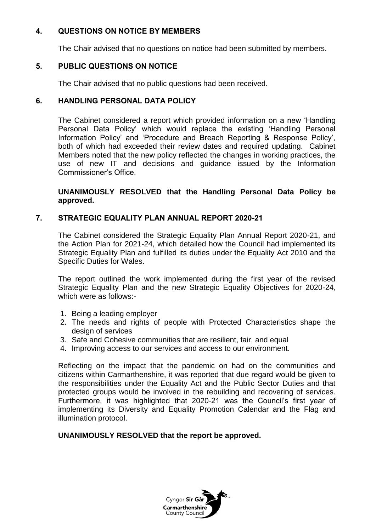## **4. QUESTIONS ON NOTICE BY MEMBERS**

The Chair advised that no questions on notice had been submitted by members.

# **5. PUBLIC QUESTIONS ON NOTICE**

The Chair advised that no public questions had been received.

### **6. HANDLING PERSONAL DATA POLICY**

The Cabinet considered a report which provided information on a new 'Handling Personal Data Policy' which would replace the existing 'Handling Personal Information Policy' and 'Procedure and Breach Reporting & Response Policy', both of which had exceeded their review dates and required updating. Cabinet Members noted that the new policy reflected the changes in working practices, the use of new IT and decisions and guidance issued by the Information Commissioner's Office.

**UNANIMOUSLY RESOLVED that the Handling Personal Data Policy be approved.**

### **7. STRATEGIC EQUALITY PLAN ANNUAL REPORT 2020-21**

The Cabinet considered the Strategic Equality Plan Annual Report 2020-21, and the Action Plan for 2021-24, which detailed how the Council had implemented its Strategic Equality Plan and fulfilled its duties under the Equality Act 2010 and the Specific Duties for Wales.

The report outlined the work implemented during the first year of the revised Strategic Equality Plan and the new Strategic Equality Objectives for 2020-24, which were as follows:-

- 1. Being a leading employer
- 2. The needs and rights of people with Protected Characteristics shape the design of services
- 3. Safe and Cohesive communities that are resilient, fair, and equal
- 4. Improving access to our services and access to our environment.

Reflecting on the impact that the pandemic on had on the communities and citizens within Carmarthenshire, it was reported that due regard would be given to the responsibilities under the Equality Act and the Public Sector Duties and that protected groups would be involved in the rebuilding and recovering of services. Furthermore, it was highlighted that 2020-21 was the Council's first year of implementing its Diversity and Equality Promotion Calendar and the Flag and illumination protocol.

### **UNANIMOUSLY RESOLVED that the report be approved.**

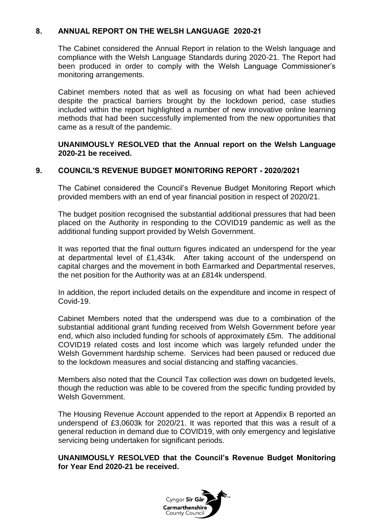### **8. ANNUAL REPORT ON THE WELSH LANGUAGE 2020-21**

The Cabinet considered the Annual Report in relation to the Welsh language and compliance with the Welsh Language Standards during 2020-21. The Report had been produced in order to comply with the Welsh Language Commissioner's monitoring arrangements.

Cabinet members noted that as well as focusing on what had been achieved despite the practical barriers brought by the lockdown period, case studies included within the report highlighted a number of new innovative online learning methods that had been successfully implemented from the new opportunities that came as a result of the pandemic.

#### **UNANIMOUSLY RESOLVED that the Annual report on the Welsh Language 2020-21 be received.**

#### **9. COUNCIL'S REVENUE BUDGET MONITORING REPORT - 2020/2021**

The Cabinet considered the Council's Revenue Budget Monitoring Report which provided members with an end of year financial position in respect of 2020/21.

The budget position recognised the substantial additional pressures that had been placed on the Authority in responding to the COVID19 pandemic as well as the additional funding support provided by Welsh Government.

It was reported that the final outturn figures indicated an underspend for the year at departmental level of £1,434k. After taking account of the underspend on capital charges and the movement in both Earmarked and Departmental reserves, the net position for the Authority was at an £814k underspend.

In addition, the report included details on the expenditure and income in respect of Covid-19.

Cabinet Members noted that the underspend was due to a combination of the substantial additional grant funding received from Welsh Government before year end, which also included funding for schools of approximately £5m. The additional COVID19 related costs and lost income which was largely refunded under the Welsh Government hardship scheme. Services had been paused or reduced due to the lockdown measures and social distancing and staffing vacancies.

Members also noted that the Council Tax collection was down on budgeted levels, though the reduction was able to be covered from the specific funding provided by Welsh Government.

The Housing Revenue Account appended to the report at Appendix B reported an underspend of £3,0603k for 2020/21. It was reported that this was a result of a general reduction in demand due to COVID19, with only emergency and legislative servicing being undertaken for significant periods.

#### **UNANIMOUSLY RESOLVED that the Council's Revenue Budget Monitoring for Year End 2020-21 be received.**

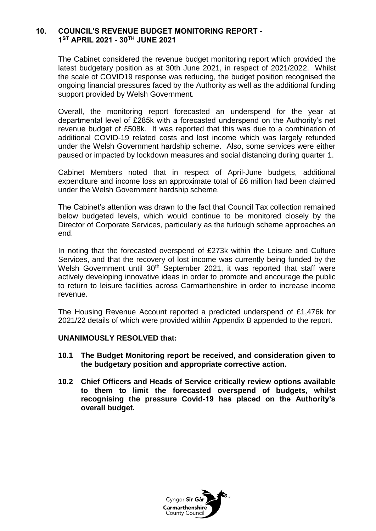#### **10. COUNCIL'S REVENUE BUDGET MONITORING REPORT - 1 ST APRIL 2021 - 30TH JUNE 2021**

The Cabinet considered the revenue budget monitoring report which provided the latest budgetary position as at 30th June 2021, in respect of 2021/2022. Whilst the scale of COVID19 response was reducing, the budget position recognised the ongoing financial pressures faced by the Authority as well as the additional funding support provided by Welsh Government.

Overall, the monitoring report forecasted an underspend for the year at departmental level of £285k with a forecasted underspend on the Authority's net revenue budget of £508k. It was reported that this was due to a combination of additional COVID-19 related costs and lost income which was largely refunded under the Welsh Government hardship scheme. Also, some services were either paused or impacted by lockdown measures and social distancing during quarter 1.

Cabinet Members noted that in respect of April-June budgets, additional expenditure and income loss an approximate total of £6 million had been claimed under the Welsh Government hardship scheme.

The Cabinet's attention was drawn to the fact that Council Tax collection remained below budgeted levels, which would continue to be monitored closely by the Director of Corporate Services, particularly as the furlough scheme approaches an end.

In noting that the forecasted overspend of £273k within the Leisure and Culture Services, and that the recovery of lost income was currently being funded by the Welsh Government until 30<sup>th</sup> September 2021, it was reported that staff were actively developing innovative ideas in order to promote and encourage the public to return to leisure facilities across Carmarthenshire in order to increase income revenue.

The Housing Revenue Account reported a predicted underspend of £1,476k for 2021/22 details of which were provided within Appendix B appended to the report.

#### **UNANIMOUSLY RESOLVED that:**

- **10.1 The Budget Monitoring report be received, and consideration given to the budgetary position and appropriate corrective action.**
- **10.2 Chief Officers and Heads of Service critically review options available to them to limit the forecasted overspend of budgets, whilst recognising the pressure Covid-19 has placed on the Authority's overall budget.**

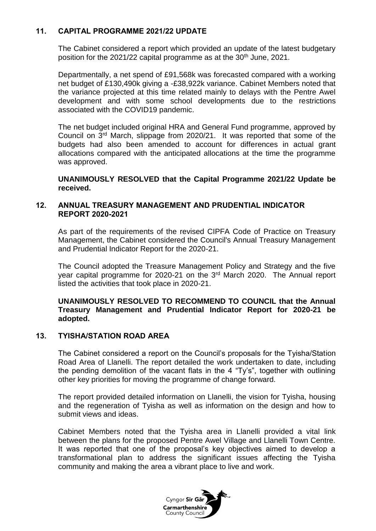### **11. CAPITAL PROGRAMME 2021/22 UPDATE**

The Cabinet considered a report which provided an update of the latest budgetary position for the 2021/22 capital programme as at the  $30<sup>th</sup>$  June, 2021.

Departmentally, a net spend of £91,568k was forecasted compared with a working net budget of £130,490k giving a -£38,922k variance. Cabinet Members noted that the variance projected at this time related mainly to delays with the Pentre Awel development and with some school developments due to the restrictions associated with the COVID19 pandemic.

The net budget included original HRA and General Fund programme, approved by Council on 3rd March, slippage from 2020/21. It was reported that some of the budgets had also been amended to account for differences in actual grant allocations compared with the anticipated allocations at the time the programme was approved.

**UNANIMOUSLY RESOLVED that the Capital Programme 2021/22 Update be received.**

#### **12. ANNUAL TREASURY MANAGEMENT AND PRUDENTIAL INDICATOR REPORT 2020-2021**

As part of the requirements of the revised CIPFA Code of Practice on Treasury Management, the Cabinet considered the Council's Annual Treasury Management and Prudential Indicator Report for the 2020-21.

The Council adopted the Treasure Management Policy and Strategy and the five year capital programme for 2020-21 on the 3rd March 2020. The Annual report listed the activities that took place in 2020-21.

#### **UNANIMOUSLY RESOLVED TO RECOMMEND TO COUNCIL that the Annual Treasury Management and Prudential Indicator Report for 2020-21 be adopted.**

#### **13. TYISHA/STATION ROAD AREA**

The Cabinet considered a report on the Council's proposals for the Tyisha/Station Road Area of Llanelli. The report detailed the work undertaken to date, including the pending demolition of the vacant flats in the 4 "Ty's", together with outlining other key priorities for moving the programme of change forward.

The report provided detailed information on Llanelli, the vision for Tyisha, housing and the regeneration of Tyisha as well as information on the design and how to submit views and ideas.

Cabinet Members noted that the Tyisha area in Llanelli provided a vital link between the plans for the proposed Pentre Awel Village and Llanelli Town Centre. It was reported that one of the proposal's key objectives aimed to develop a transformational plan to address the significant issues affecting the Tyisha community and making the area a vibrant place to live and work.

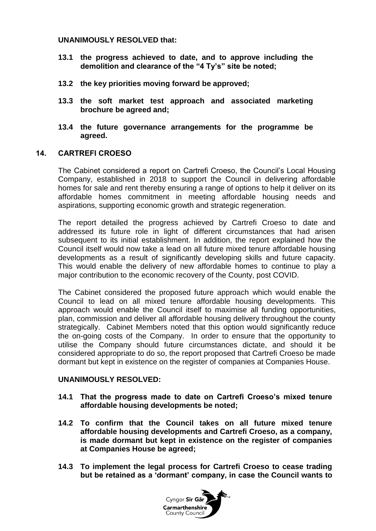#### **UNANIMOUSLY RESOLVED that:**

- **13.1 the progress achieved to date, and to approve including the demolition and clearance of the "4 Ty's" site be noted;**
- **13.2 the key priorities moving forward be approved;**
- **13.3 the soft market test approach and associated marketing brochure be agreed and;**
- **13.4 the future governance arrangements for the programme be agreed.**

#### **14. CARTREFI CROESO**

The Cabinet considered a report on Cartrefi Croeso, the Council's Local Housing Company, established in 2018 to support the Council in delivering affordable homes for sale and rent thereby ensuring a range of options to help it deliver on its affordable homes commitment in meeting affordable housing needs and aspirations, supporting economic growth and strategic regeneration.

The report detailed the progress achieved by Cartrefi Croeso to date and addressed its future role in light of different circumstances that had arisen subsequent to its initial establishment. In addition, the report explained how the Council itself would now take a lead on all future mixed tenure affordable housing developments as a result of significantly developing skills and future capacity. This would enable the delivery of new affordable homes to continue to play a major contribution to the economic recovery of the County, post COVID.

The Cabinet considered the proposed future approach which would enable the Council to lead on all mixed tenure affordable housing developments. This approach would enable the Council itself to maximise all funding opportunities, plan, commission and deliver all affordable housing delivery throughout the county strategically. Cabinet Members noted that this option would significantly reduce the on-going costs of the Company. In order to ensure that the opportunity to utilise the Company should future circumstances dictate, and should it be considered appropriate to do so, the report proposed that Cartrefi Croeso be made dormant but kept in existence on the register of companies at Companies House.

#### **UNANIMOUSLY RESOLVED:**

- **14.1 That the progress made to date on Cartrefi Croeso's mixed tenure affordable housing developments be noted;**
- **14.2 To confirm that the Council takes on all future mixed tenure affordable housing developments and Cartrefi Croeso, as a company, is made dormant but kept in existence on the register of companies at Companies House be agreed;**
- **14.3 To implement the legal process for Cartrefi Croeso to cease trading but be retained as a 'dormant' company, in case the Council wants to**

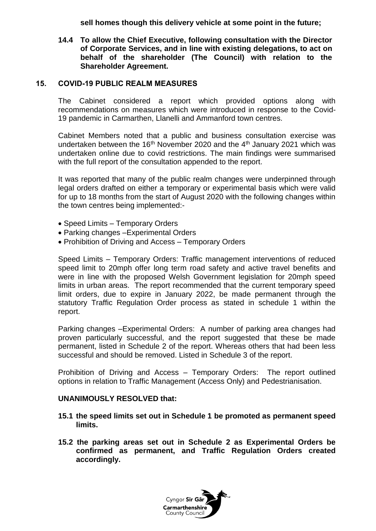**sell homes though this delivery vehicle at some point in the future;**

**14.4 To allow the Chief Executive, following consultation with the Director of Corporate Services, and in line with existing delegations, to act on behalf of the shareholder (The Council) with relation to the Shareholder Agreement.**

#### **15. COVID-19 PUBLIC REALM MEASURES**

The Cabinet considered a report which provided options along with recommendations on measures which were introduced in response to the Covid-19 pandemic in Carmarthen, Llanelli and Ammanford town centres.

Cabinet Members noted that a public and business consultation exercise was undertaken between the  $16<sup>th</sup>$  November 2020 and the  $4<sup>th</sup>$  January 2021 which was undertaken online due to covid restrictions. The main findings were summarised with the full report of the consultation appended to the report.

It was reported that many of the public realm changes were underpinned through legal orders drafted on either a temporary or experimental basis which were valid for up to 18 months from the start of August 2020 with the following changes within the town centres being implemented:-

- Speed Limits Temporary Orders
- Parking changes –Experimental Orders
- Prohibition of Driving and Access Temporary Orders

Speed Limits – Temporary Orders: Traffic management interventions of reduced speed limit to 20mph offer long term road safety and active travel benefits and were in line with the proposed Welsh Government legislation for 20mph speed limits in urban areas. The report recommended that the current temporary speed limit orders, due to expire in January 2022, be made permanent through the statutory Traffic Regulation Order process as stated in schedule 1 within the report.

Parking changes –Experimental Orders: A number of parking area changes had proven particularly successful, and the report suggested that these be made permanent, listed in Schedule 2 of the report. Whereas others that had been less successful and should be removed. Listed in Schedule 3 of the report.

Prohibition of Driving and Access – Temporary Orders: The report outlined options in relation to Traffic Management (Access Only) and Pedestrianisation.

#### **UNANIMOUSLY RESOLVED that:**

- **15.1 the speed limits set out in Schedule 1 be promoted as permanent speed limits.**
- **15.2 the parking areas set out in Schedule 2 as Experimental Orders be confirmed as permanent, and Traffic Regulation Orders created accordingly.**